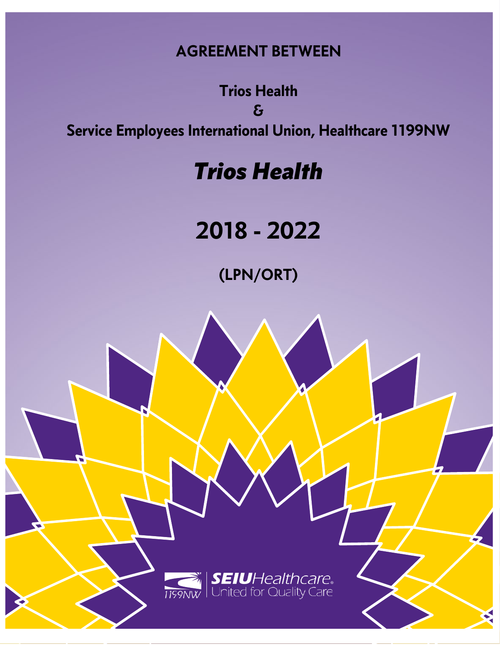# **AGREEMENT BETWEEN**

**Trios Health & Service Employees International Union, Healthcare 1199NW**

# *Trios Health*

# **2018 - 2022**

**(LPN/ORT)**

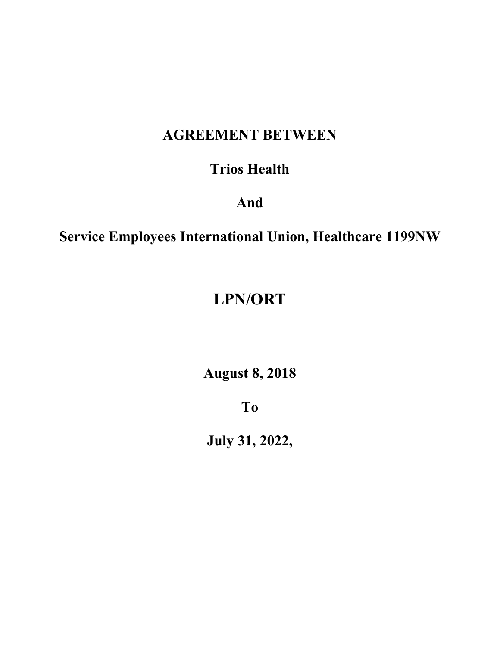# **AGREEMENT BETWEEN**

## **Trios Health**

## **And**

# **Service Employees International Union, Healthcare 1199NW**

# **LPN/ORT**

**August 8, 2018**

**To**

**July 31, 2022,**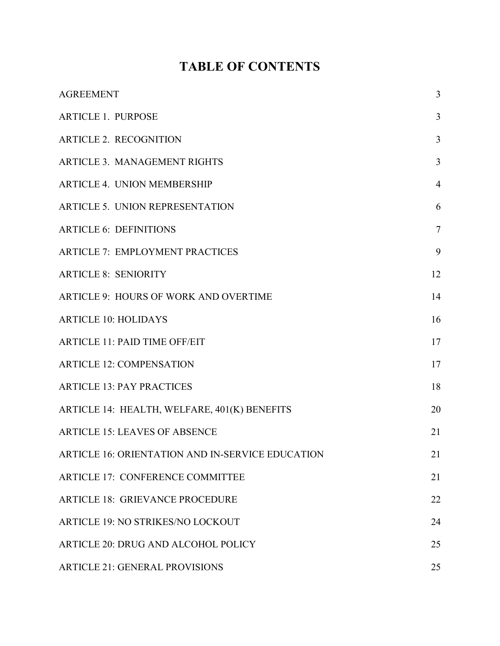# **TABLE OF CONTENTS**

| <b>AGREEMENT</b>                                 | 3              |
|--------------------------------------------------|----------------|
| <b>ARTICLE 1. PURPOSE</b>                        | 3              |
| <b>ARTICLE 2. RECOGNITION</b>                    | 3              |
| <b>ARTICLE 3. MANAGEMENT RIGHTS</b>              | 3              |
| <b>ARTICLE 4. UNION MEMBERSHIP</b>               | $\overline{4}$ |
| <b>ARTICLE 5. UNION REPRESENTATION</b>           | 6              |
| <b>ARTICLE 6: DEFINITIONS</b>                    | $\tau$         |
| <b>ARTICLE 7: EMPLOYMENT PRACTICES</b>           | 9              |
| <b>ARTICLE 8: SENIORITY</b>                      | 12             |
| <b>ARTICLE 9: HOURS OF WORK AND OVERTIME</b>     | 14             |
| <b>ARTICLE 10: HOLIDAYS</b>                      | 16             |
| <b>ARTICLE 11: PAID TIME OFF/EIT</b>             | 17             |
| <b>ARTICLE 12: COMPENSATION</b>                  | 17             |
| <b>ARTICLE 13: PAY PRACTICES</b>                 | 18             |
| ARTICLE 14: HEALTH, WELFARE, 401(K) BENEFITS     | 20             |
| <b>ARTICLE 15: LEAVES OF ABSENCE</b>             | 21             |
| ARTICLE 16: ORIENTATION AND IN-SERVICE EDUCATION | 21             |
| <b>ARTICLE 17: CONFERENCE COMMITTEE</b>          | 21             |
| <b>ARTICLE 18: GRIEVANCE PROCEDURE</b>           | 22             |
| ARTICLE 19: NO STRIKES/NO LOCKOUT                | 24             |
| <b>ARTICLE 20: DRUG AND ALCOHOL POLICY</b>       | 25             |
| <b>ARTICLE 21: GENERAL PROVISIONS</b>            | 25             |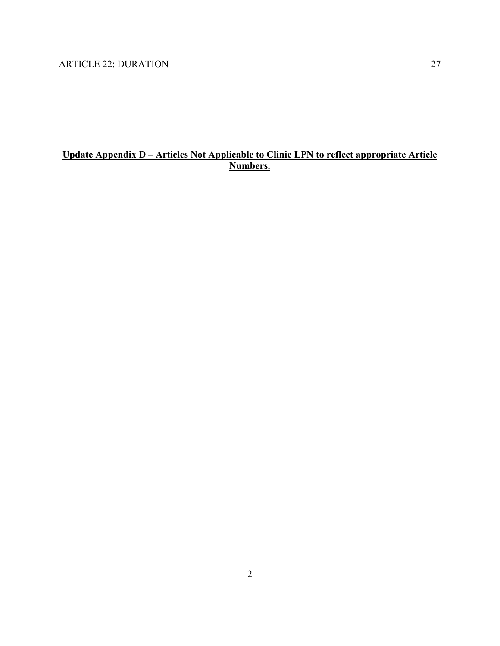### **Update Appendix D – Articles Not Applicable to Clinic LPN to reflect appropriate Article Numbers.**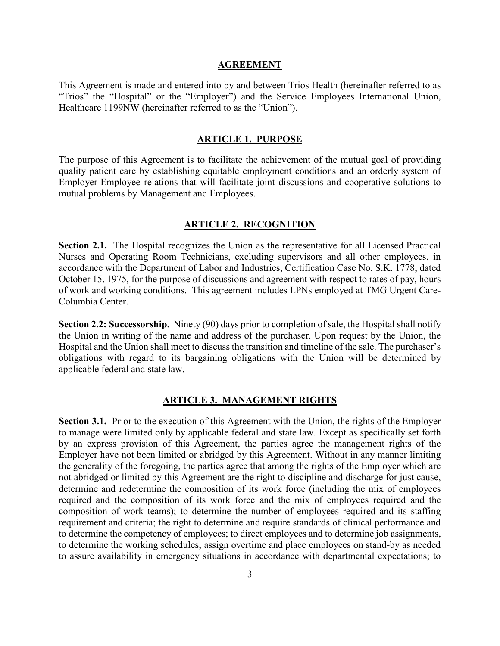#### **AGREEMENT**

<span id="page-4-1"></span><span id="page-4-0"></span>This Agreement is made and entered into by and between Trios Health (hereinafter referred to as "Trios" the "Hospital" or the "Employer") and the Service Employees International Union, Healthcare 1199NW (hereinafter referred to as the "Union").

#### **ARTICLE 1. PURPOSE**

<span id="page-4-2"></span>The purpose of this Agreement is to facilitate the achievement of the mutual goal of providing quality patient care by establishing equitable employment conditions and an orderly system of Employer-Employee relations that will facilitate joint discussions and cooperative solutions to mutual problems by Management and Employees.

#### **ARTICLE 2. RECOGNITION**

**Section 2.1.** The Hospital recognizes the Union as the representative for all Licensed Practical Nurses and Operating Room Technicians, excluding supervisors and all other employees, in accordance with the Department of Labor and Industries, Certification Case No. S.K. 1778, dated October 15, 1975, for the purpose of discussions and agreement with respect to rates of pay, hours of work and working conditions. This agreement includes LPNs employed at TMG Urgent Care-Columbia Center.

**Section 2.2: Successorship.** Ninety (90) days prior to completion of sale, the Hospital shall notify the Union in writing of the name and address of the purchaser. Upon request by the Union, the Hospital and the Union shall meet to discuss the transition and timeline of the sale. The purchaser's obligations with regard to its bargaining obligations with the Union will be determined by applicable federal and state law.

#### **ARTICLE 3. MANAGEMENT RIGHTS**

<span id="page-4-3"></span>**Section 3.1.** Prior to the execution of this Agreement with the Union, the rights of the Employer to manage were limited only by applicable federal and state law. Except as specifically set forth by an express provision of this Agreement, the parties agree the management rights of the Employer have not been limited or abridged by this Agreement. Without in any manner limiting the generality of the foregoing, the parties agree that among the rights of the Employer which are not abridged or limited by this Agreement are the right to discipline and discharge for just cause, determine and redetermine the composition of its work force (including the mix of employees required and the composition of its work force and the mix of employees required and the composition of work teams); to determine the number of employees required and its staffing requirement and criteria; the right to determine and require standards of clinical performance and to determine the competency of employees; to direct employees and to determine job assignments, to determine the working schedules; assign overtime and place employees on stand-by as needed to assure availability in emergency situations in accordance with departmental expectations; to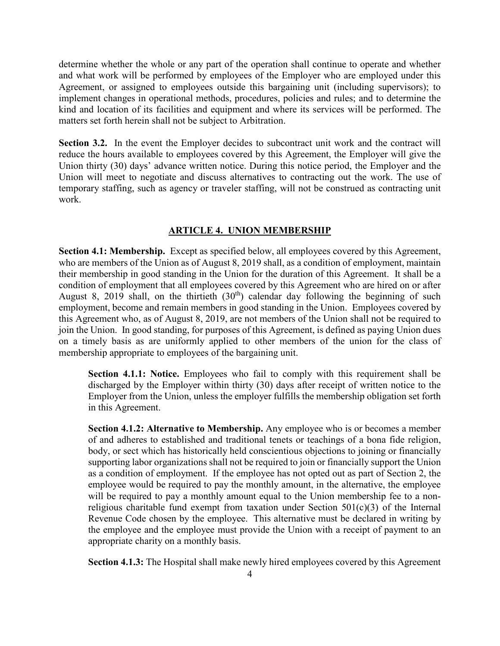determine whether the whole or any part of the operation shall continue to operate and whether and what work will be performed by employees of the Employer who are employed under this Agreement, or assigned to employees outside this bargaining unit (including supervisors); to implement changes in operational methods, procedures, policies and rules; and to determine the kind and location of its facilities and equipment and where its services will be performed. The matters set forth herein shall not be subject to Arbitration.

**Section 3.2.** In the event the Employer decides to subcontract unit work and the contract will reduce the hours available to employees covered by this Agreement, the Employer will give the Union thirty (30) days' advance written notice. During this notice period, the Employer and the Union will meet to negotiate and discuss alternatives to contracting out the work. The use of temporary staffing, such as agency or traveler staffing, will not be construed as contracting unit work.

#### **ARTICLE 4. UNION MEMBERSHIP**

<span id="page-5-0"></span>**Section 4.1: Membership.** Except as specified below, all employees covered by this Agreement, who are members of the Union as of August 8, 2019 shall, as a condition of employment, maintain their membership in good standing in the Union for the duration of this Agreement. It shall be a condition of employment that all employees covered by this Agreement who are hired on or after August 8, 2019 shall, on the thirtieth  $(30<sup>th</sup>)$  calendar day following the beginning of such employment, become and remain members in good standing in the Union. Employees covered by this Agreement who, as of August 8, 2019, are not members of the Union shall not be required to join the Union. In good standing, for purposes of this Agreement, is defined as paying Union dues on a timely basis as are uniformly applied to other members of the union for the class of membership appropriate to employees of the bargaining unit.

**Section 4.1.1: Notice.** Employees who fail to comply with this requirement shall be discharged by the Employer within thirty (30) days after receipt of written notice to the Employer from the Union, unless the employer fulfills the membership obligation set forth in this Agreement.

**Section 4.1.2: Alternative to Membership.** Any employee who is or becomes a member of and adheres to established and traditional tenets or teachings of a bona fide religion, body, or sect which has historically held conscientious objections to joining or financially supporting labor organizations shall not be required to join or financially support the Union as a condition of employment. If the employee has not opted out as part of Section 2, the employee would be required to pay the monthly amount, in the alternative, the employee will be required to pay a monthly amount equal to the Union membership fee to a nonreligious charitable fund exempt from taxation under Section  $501(c)(3)$  of the Internal Revenue Code chosen by the employee. This alternative must be declared in writing by the employee and the employee must provide the Union with a receipt of payment to an appropriate charity on a monthly basis.

**Section 4.1.3:** The Hospital shall make newly hired employees covered by this Agreement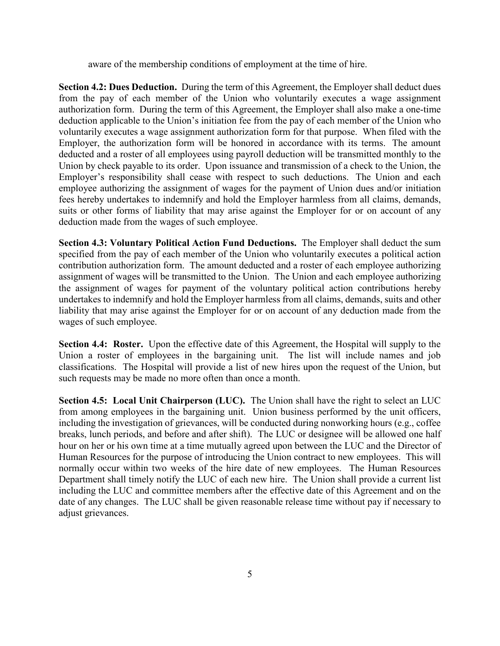aware of the membership conditions of employment at the time of hire.

**Section 4.2: Dues Deduction.** During the term of this Agreement, the Employer shall deduct dues from the pay of each member of the Union who voluntarily executes a wage assignment authorization form. During the term of this Agreement, the Employer shall also make a one-time deduction applicable to the Union's initiation fee from the pay of each member of the Union who voluntarily executes a wage assignment authorization form for that purpose. When filed with the Employer, the authorization form will be honored in accordance with its terms. The amount deducted and a roster of all employees using payroll deduction will be transmitted monthly to the Union by check payable to its order. Upon issuance and transmission of a check to the Union, the Employer's responsibility shall cease with respect to such deductions. The Union and each employee authorizing the assignment of wages for the payment of Union dues and/or initiation fees hereby undertakes to indemnify and hold the Employer harmless from all claims, demands, suits or other forms of liability that may arise against the Employer for or on account of any deduction made from the wages of such employee.

**Section 4.3: Voluntary Political Action Fund Deductions.** The Employer shall deduct the sum specified from the pay of each member of the Union who voluntarily executes a political action contribution authorization form. The amount deducted and a roster of each employee authorizing assignment of wages will be transmitted to the Union. The Union and each employee authorizing the assignment of wages for payment of the voluntary political action contributions hereby undertakes to indemnify and hold the Employer harmless from all claims, demands, suits and other liability that may arise against the Employer for or on account of any deduction made from the wages of such employee.

**Section 4.4: Roster.** Upon the effective date of this Agreement, the Hospital will supply to the Union a roster of employees in the bargaining unit. The list will include names and job classifications. The Hospital will provide a list of new hires upon the request of the Union, but such requests may be made no more often than once a month.

**Section 4.5: Local Unit Chairperson (LUC).** The Union shall have the right to select an LUC from among employees in the bargaining unit. Union business performed by the unit officers, including the investigation of grievances, will be conducted during nonworking hours (e.g., coffee breaks, lunch periods, and before and after shift). The LUC or designee will be allowed one half hour on her or his own time at a time mutually agreed upon between the LUC and the Director of Human Resources for the purpose of introducing the Union contract to new employees. This will normally occur within two weeks of the hire date of new employees. The Human Resources Department shall timely notify the LUC of each new hire. The Union shall provide a current list including the LUC and committee members after the effective date of this Agreement and on the date of any changes. The LUC shall be given reasonable release time without pay if necessary to adjust grievances.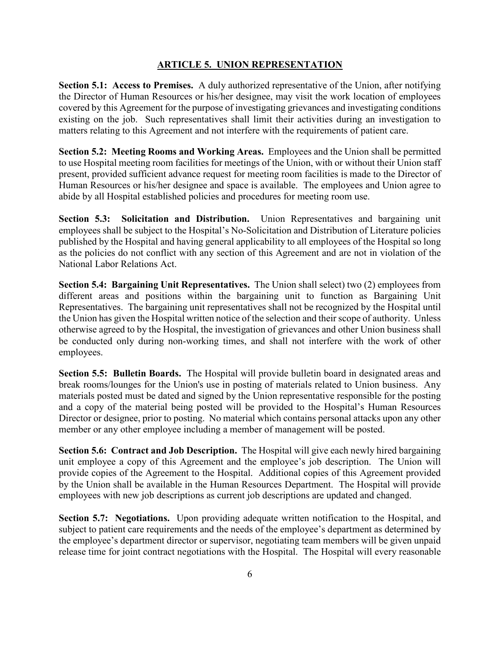#### **ARTICLE 5. UNION REPRESENTATION**

<span id="page-7-0"></span>**Section 5.1: Access to Premises.** A duly authorized representative of the Union, after notifying the Director of Human Resources or his/her designee, may visit the work location of employees covered by this Agreement for the purpose of investigating grievances and investigating conditions existing on the job. Such representatives shall limit their activities during an investigation to matters relating to this Agreement and not interfere with the requirements of patient care.

**Section 5.2: Meeting Rooms and Working Areas.** Employees and the Union shall be permitted to use Hospital meeting room facilities for meetings of the Union, with or without their Union staff present, provided sufficient advance request for meeting room facilities is made to the Director of Human Resources or his/her designee and space is available. The employees and Union agree to abide by all Hospital established policies and procedures for meeting room use.

**Section 5.3: Solicitation and Distribution.** Union Representatives and bargaining unit employees shall be subject to the Hospital's No-Solicitation and Distribution of Literature policies published by the Hospital and having general applicability to all employees of the Hospital so long as the policies do not conflict with any section of this Agreement and are not in violation of the National Labor Relations Act.

**Section 5.4: Bargaining Unit Representatives.** The Union shall select) two (2) employees from different areas and positions within the bargaining unit to function as Bargaining Unit Representatives. The bargaining unit representatives shall not be recognized by the Hospital until the Union has given the Hospital written notice of the selection and their scope of authority. Unless otherwise agreed to by the Hospital, the investigation of grievances and other Union business shall be conducted only during non-working times, and shall not interfere with the work of other employees.

**Section 5.5: Bulletin Boards.** The Hospital will provide bulletin board in designated areas and break rooms/lounges for the Union's use in posting of materials related to Union business. Any materials posted must be dated and signed by the Union representative responsible for the posting and a copy of the material being posted will be provided to the Hospital's Human Resources Director or designee, prior to posting. No material which contains personal attacks upon any other member or any other employee including a member of management will be posted.

**Section 5.6: Contract and Job Description.** The Hospital will give each newly hired bargaining unit employee a copy of this Agreement and the employee's job description. The Union will provide copies of the Agreement to the Hospital. Additional copies of this Agreement provided by the Union shall be available in the Human Resources Department. The Hospital will provide employees with new job descriptions as current job descriptions are updated and changed.

**Section 5.7: Negotiations.** Upon providing adequate written notification to the Hospital, and subject to patient care requirements and the needs of the employee's department as determined by the employee's department director or supervisor, negotiating team members will be given unpaid release time for joint contract negotiations with the Hospital. The Hospital will every reasonable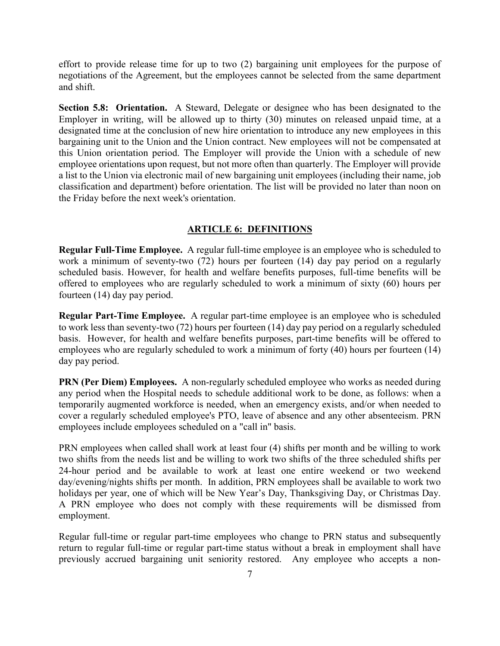effort to provide release time for up to two (2) bargaining unit employees for the purpose of negotiations of the Agreement, but the employees cannot be selected from the same department and shift.

**Section 5.8: Orientation.** A Steward, Delegate or designee who has been designated to the Employer in writing, will be allowed up to thirty (30) minutes on released unpaid time, at a designated time at the conclusion of new hire orientation to introduce any new employees in this bargaining unit to the Union and the Union contract. New employees will not be compensated at this Union orientation period. The Employer will provide the Union with a schedule of new employee orientations upon request, but not more often than quarterly. The Employer will provide a list to the Union via electronic mail of new bargaining unit employees (including their name, job classification and department) before orientation. The list will be provided no later than noon on the Friday before the next week's orientation.

#### **ARTICLE 6: DEFINITIONS**

<span id="page-8-0"></span>**Regular Full-Time Employee.** A regular full-time employee is an employee who is scheduled to work a minimum of seventy-two (72) hours per fourteen (14) day pay period on a regularly scheduled basis. However, for health and welfare benefits purposes, full-time benefits will be offered to employees who are regularly scheduled to work a minimum of sixty (60) hours per fourteen (14) day pay period.

**Regular Part-Time Employee.** A regular part-time employee is an employee who is scheduled to work less than seventy-two (72) hours per fourteen (14) day pay period on a regularly scheduled basis. However, for health and welfare benefits purposes, part-time benefits will be offered to employees who are regularly scheduled to work a minimum of forty (40) hours per fourteen (14) day pay period.

**PRN (Per Diem) Employees.** A non-regularly scheduled employee who works as needed during any period when the Hospital needs to schedule additional work to be done, as follows: when a temporarily augmented workforce is needed, when an emergency exists, and/or when needed to cover a regularly scheduled employee's PTO, leave of absence and any other absenteeism. PRN employees include employees scheduled on a "call in" basis.

PRN employees when called shall work at least four (4) shifts per month and be willing to work two shifts from the needs list and be willing to work two shifts of the three scheduled shifts per 24-hour period and be available to work at least one entire weekend or two weekend day/evening/nights shifts per month. In addition, PRN employees shall be available to work two holidays per year, one of which will be New Year's Day, Thanksgiving Day, or Christmas Day. A PRN employee who does not comply with these requirements will be dismissed from employment.

Regular full-time or regular part-time employees who change to PRN status and subsequently return to regular full-time or regular part-time status without a break in employment shall have previously accrued bargaining unit seniority restored. Any employee who accepts a non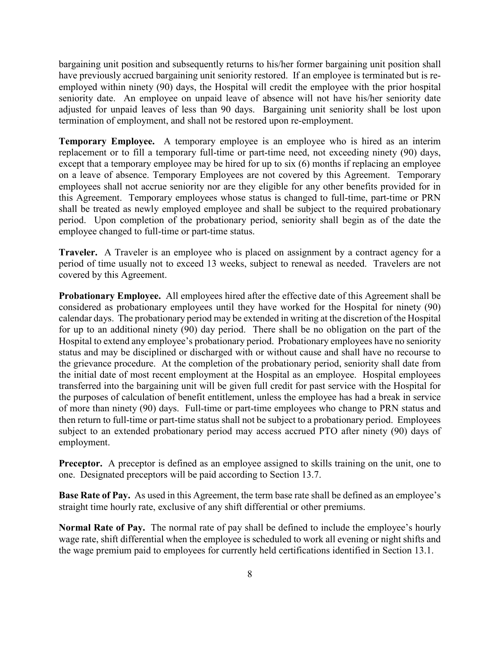bargaining unit position and subsequently returns to his/her former bargaining unit position shall have previously accrued bargaining unit seniority restored. If an employee is terminated but is reemployed within ninety (90) days, the Hospital will credit the employee with the prior hospital seniority date. An employee on unpaid leave of absence will not have his/her seniority date adjusted for unpaid leaves of less than 90 days. Bargaining unit seniority shall be lost upon termination of employment, and shall not be restored upon re-employment.

**Temporary Employee.** A temporary employee is an employee who is hired as an interim replacement or to fill a temporary full-time or part-time need, not exceeding ninety (90) days, except that a temporary employee may be hired for up to six (6) months if replacing an employee on a leave of absence. Temporary Employees are not covered by this Agreement. Temporary employees shall not accrue seniority nor are they eligible for any other benefits provided for in this Agreement. Temporary employees whose status is changed to full-time, part-time or PRN shall be treated as newly employed employee and shall be subject to the required probationary period. Upon completion of the probationary period, seniority shall begin as of the date the employee changed to full-time or part-time status.

**Traveler.** A Traveler is an employee who is placed on assignment by a contract agency for a period of time usually not to exceed 13 weeks, subject to renewal as needed. Travelers are not covered by this Agreement.

**Probationary Employee.** All employees hired after the effective date of this Agreement shall be considered as probationary employees until they have worked for the Hospital for ninety (90) calendar days. The probationary period may be extended in writing at the discretion of the Hospital for up to an additional ninety (90) day period. There shall be no obligation on the part of the Hospital to extend any employee's probationary period. Probationary employees have no seniority status and may be disciplined or discharged with or without cause and shall have no recourse to the grievance procedure. At the completion of the probationary period, seniority shall date from the initial date of most recent employment at the Hospital as an employee. Hospital employees transferred into the bargaining unit will be given full credit for past service with the Hospital for the purposes of calculation of benefit entitlement, unless the employee has had a break in service of more than ninety (90) days. Full-time or part-time employees who change to PRN status and then return to full-time or part-time status shall not be subject to a probationary period. Employees subject to an extended probationary period may access accrued PTO after ninety (90) days of employment.

**Preceptor.** A preceptor is defined as an employee assigned to skills training on the unit, one to one. Designated preceptors will be paid according to Section 13.7.

**Base Rate of Pay.** As used in this Agreement, the term base rate shall be defined as an employee's straight time hourly rate, exclusive of any shift differential or other premiums.

**Normal Rate of Pay.** The normal rate of pay shall be defined to include the employee's hourly wage rate, shift differential when the employee is scheduled to work all evening or night shifts and the wage premium paid to employees for currently held certifications identified in Section 13.1.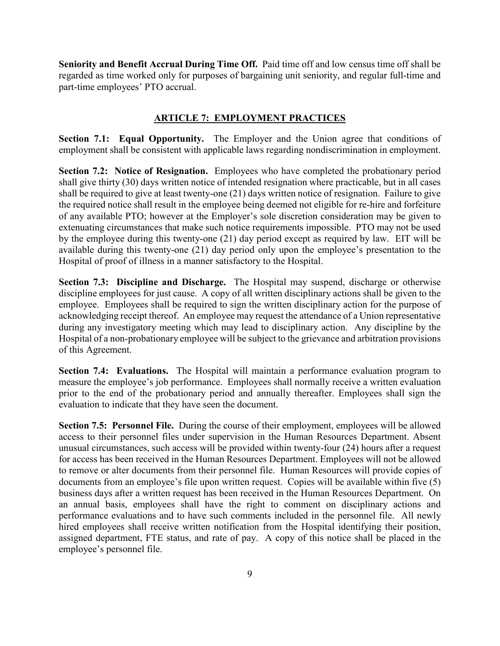**Seniority and Benefit Accrual During Time Off.** Paid time off and low census time off shall be regarded as time worked only for purposes of bargaining unit seniority, and regular full-time and part-time employees' PTO accrual.

#### **ARTICLE 7: EMPLOYMENT PRACTICES**

<span id="page-10-0"></span>**Section 7.1: Equal Opportunity.** The Employer and the Union agree that conditions of employment shall be consistent with applicable laws regarding nondiscrimination in employment.

**Section 7.2: Notice of Resignation.** Employees who have completed the probationary period shall give thirty (30) days written notice of intended resignation where practicable, but in all cases shall be required to give at least twenty-one (21) days written notice of resignation. Failure to give the required notice shall result in the employee being deemed not eligible for re-hire and forfeiture of any available PTO; however at the Employer's sole discretion consideration may be given to extenuating circumstances that make such notice requirements impossible. PTO may not be used by the employee during this twenty-one (21) day period except as required by law. EIT will be available during this twenty-one (21) day period only upon the employee's presentation to the Hospital of proof of illness in a manner satisfactory to the Hospital.

**Section 7.3: Discipline and Discharge.** The Hospital may suspend, discharge or otherwise discipline employees for just cause. A copy of all written disciplinary actions shall be given to the employee. Employees shall be required to sign the written disciplinary action for the purpose of acknowledging receipt thereof. An employee may request the attendance of a Union representative during any investigatory meeting which may lead to disciplinary action. Any discipline by the Hospital of a non-probationary employee will be subject to the grievance and arbitration provisions of this Agreement.

**Section 7.4: Evaluations.** The Hospital will maintain a performance evaluation program to measure the employee's job performance. Employees shall normally receive a written evaluation prior to the end of the probationary period and annually thereafter. Employees shall sign the evaluation to indicate that they have seen the document.

**Section 7.5: Personnel File.** During the course of their employment, employees will be allowed access to their personnel files under supervision in the Human Resources Department. Absent unusual circumstances, such access will be provided within twenty-four (24) hours after a request for access has been received in the Human Resources Department. Employees will not be allowed to remove or alter documents from their personnel file. Human Resources will provide copies of documents from an employee's file upon written request. Copies will be available within five (5) business days after a written request has been received in the Human Resources Department. On an annual basis, employees shall have the right to comment on disciplinary actions and performance evaluations and to have such comments included in the personnel file. All newly hired employees shall receive written notification from the Hospital identifying their position, assigned department, FTE status, and rate of pay. A copy of this notice shall be placed in the employee's personnel file.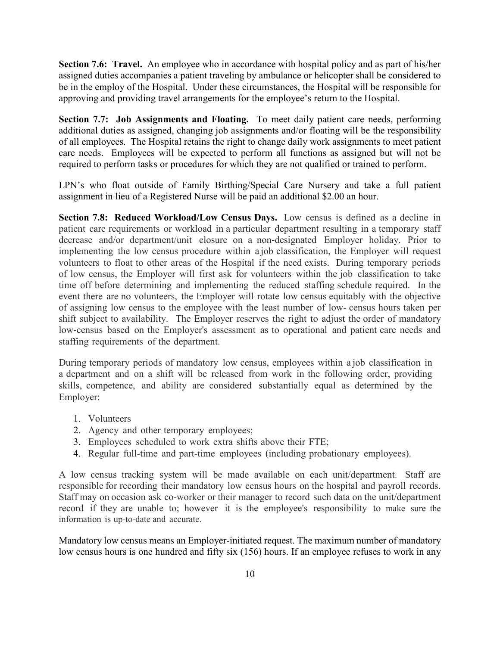**Section 7.6: Travel.** An employee who in accordance with hospital policy and as part of his/her assigned duties accompanies a patient traveling by ambulance or helicopter shall be considered to be in the employ of the Hospital. Under these circumstances, the Hospital will be responsible for approving and providing travel arrangements for the employee's return to the Hospital.

**Section 7.7: Job Assignments and Floating.** To meet daily patient care needs, performing additional duties as assigned, changing job assignments and/or floating will be the responsibility of all employees. The Hospital retains the right to change daily work assignments to meet patient care needs. Employees will be expected to perform all functions as assigned but will not be required to perform tasks or procedures for which they are not qualified or trained to perform.

LPN's who float outside of Family Birthing/Special Care Nursery and take a full patient assignment in lieu of a Registered Nurse will be paid an additional \$2.00 an hour.

**Section 7.8: Reduced Workload/Low Census Days.** Low census is defined as a decline in patient care requirements or workload in a particular department resulting in a temporary staff decrease and/or department/unit closure on a non-designated Employer holiday. Prior to implementing the low census procedure within a job classification, the Employer will request volunteers to float to other areas of the Hospital if the need exists. During temporary periods of low census, the Employer will first ask for volunteers within the job classification to take time off before determining and implementing the reduced staffing schedule required. In the event there are no volunteers, the Employer will rotate low census equitably with the objective of assigning low census to the employee with the least number of low- census hours taken per shift subject to availability. The Employer reserves the right to adjust the order of mandatory low-census based on the Employer's assessment as to operational and patient care needs and staffing requirements of the department.

During temporary periods of mandatory low census, employees within a job classification in a department and on a shift will be released from work in the following order, providing skills, competence, and ability are considered substantially equal as determined by the Employer:

- 1. Volunteers
- 2. Agency and other temporary employees;
- 3. Employees scheduled to work extra shifts above their FTE;
- 4. Regular full-time and part-time employees (including probationary employees).

A low census tracking system will be made available on each unit/department. Staff are responsible for recording their mandatory low census hours on the hospital and payroll records. Staff may on occasion ask co-worker or their manager to record such data on the unit/department record if they are unable to; however it is the employee's responsibility to make sure the information is up-to-date and accurate.

Mandatory low census means an Employer-initiated request. The maximum number of mandatory low census hours is one hundred and fifty six (156) hours. If an employee refuses to work in any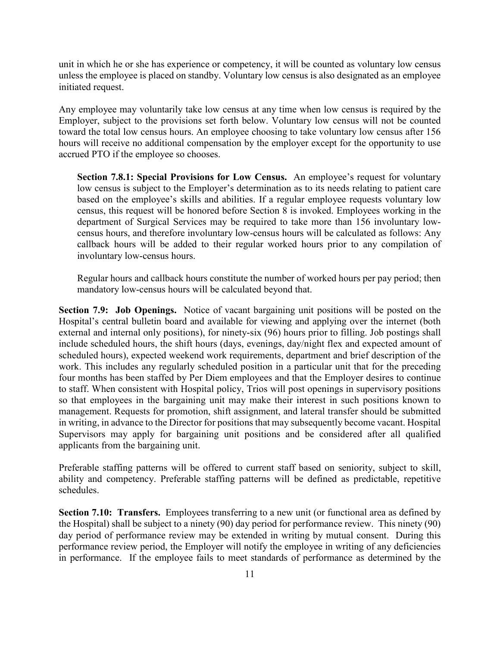unit in which he or she has experience or competency, it will be counted as voluntary low census unless the employee is placed on standby. Voluntary low census is also designated as an employee initiated request.

Any employee may voluntarily take low census at any time when low census is required by the Employer, subject to the provisions set forth below. Voluntary low census will not be counted toward the total low census hours. An employee choosing to take voluntary low census after 156 hours will receive no additional compensation by the employer except for the opportunity to use accrued PTO if the employee so chooses.

**Section 7.8.1: Special Provisions for Low Census.** An employee's request for voluntary low census is subject to the Employer's determination as to its needs relating to patient care based on the employee's skills and abilities. If a regular employee requests voluntary low census, this request will be honored before Section 8 is invoked. Employees working in the department of Surgical Services may be required to take more than 156 involuntary lowcensus hours, and therefore involuntary low-census hours will be calculated as follows: Any callback hours will be added to their regular worked hours prior to any compilation of involuntary low-census hours.

Regular hours and callback hours constitute the number of worked hours per pay period; then mandatory low-census hours will be calculated beyond that.

**Section 7.9: Job Openings.** Notice of vacant bargaining unit positions will be posted on the Hospital's central bulletin board and available for viewing and applying over the internet (both external and internal only positions), for ninety-six (96) hours prior to filling. Job postings shall include scheduled hours, the shift hours (days, evenings, day/night flex and expected amount of scheduled hours), expected weekend work requirements, department and brief description of the work. This includes any regularly scheduled position in a particular unit that for the preceding four months has been staffed by Per Diem employees and that the Employer desires to continue to staff. When consistent with Hospital policy, Trios will post openings in supervisory positions so that employees in the bargaining unit may make their interest in such positions known to management. Requests for promotion, shift assignment, and lateral transfer should be submitted in writing, in advance to the Director for positions that may subsequently become vacant. Hospital Supervisors may apply for bargaining unit positions and be considered after all qualified applicants from the bargaining unit.

Preferable staffing patterns will be offered to current staff based on seniority, subject to skill, ability and competency. Preferable staffing patterns will be defined as predictable, repetitive schedules.

**Section 7.10: Transfers.** Employees transferring to a new unit (or functional area as defined by the Hospital) shall be subject to a ninety (90) day period for performance review. This ninety (90) day period of performance review may be extended in writing by mutual consent. During this performance review period, the Employer will notify the employee in writing of any deficiencies in performance. If the employee fails to meet standards of performance as determined by the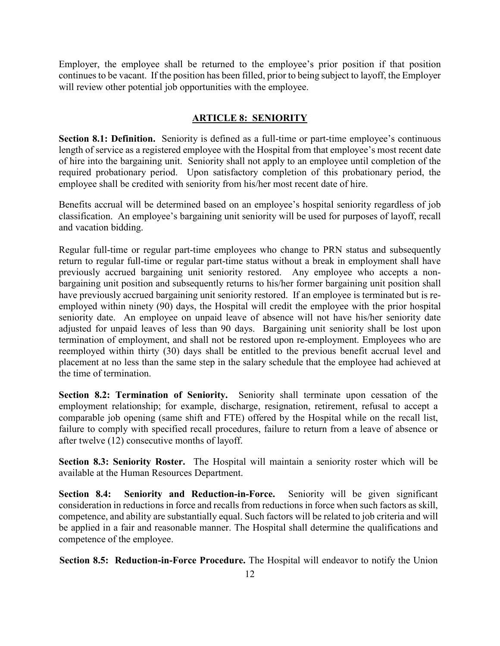<span id="page-13-0"></span>Employer, the employee shall be returned to the employee's prior position if that position continues to be vacant. If the position has been filled, prior to being subject to layoff, the Employer will review other potential job opportunities with the employee.

#### **ARTICLE 8: SENIORITY**

**Section 8.1: Definition.** Seniority is defined as a full-time or part-time employee's continuous length of service as a registered employee with the Hospital from that employee's most recent date of hire into the bargaining unit. Seniority shall not apply to an employee until completion of the required probationary period. Upon satisfactory completion of this probationary period, the employee shall be credited with seniority from his/her most recent date of hire.

Benefits accrual will be determined based on an employee's hospital seniority regardless of job classification. An employee's bargaining unit seniority will be used for purposes of layoff, recall and vacation bidding.

Regular full-time or regular part-time employees who change to PRN status and subsequently return to regular full-time or regular part-time status without a break in employment shall have previously accrued bargaining unit seniority restored. Any employee who accepts a nonbargaining unit position and subsequently returns to his/her former bargaining unit position shall have previously accrued bargaining unit seniority restored. If an employee is terminated but is reemployed within ninety (90) days, the Hospital will credit the employee with the prior hospital seniority date. An employee on unpaid leave of absence will not have his/her seniority date adjusted for unpaid leaves of less than 90 days. Bargaining unit seniority shall be lost upon termination of employment, and shall not be restored upon re-employment. Employees who are reemployed within thirty (30) days shall be entitled to the previous benefit accrual level and placement at no less than the same step in the salary schedule that the employee had achieved at the time of termination.

**Section 8.2: Termination of Seniority.** Seniority shall terminate upon cessation of the employment relationship; for example, discharge, resignation, retirement, refusal to accept a comparable job opening (same shift and FTE) offered by the Hospital while on the recall list, failure to comply with specified recall procedures, failure to return from a leave of absence or after twelve (12) consecutive months of layoff.

**Section 8.3: Seniority Roster.** The Hospital will maintain a seniority roster which will be available at the Human Resources Department.

**Section 8.4: Seniority and Reduction-in-Force.** Seniority will be given significant consideration in reductions in force and recalls from reductions in force when such factors as skill, competence, and ability are substantially equal. Such factors will be related to job criteria and will be applied in a fair and reasonable manner. The Hospital shall determine the qualifications and competence of the employee.

**Section 8.5: Reduction-in-Force Procedure.** The Hospital will endeavor to notify the Union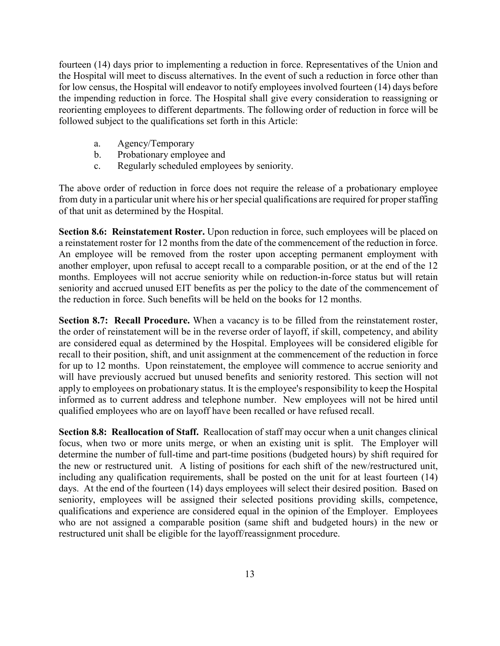fourteen (14) days prior to implementing a reduction in force. Representatives of the Union and the Hospital will meet to discuss alternatives. In the event of such a reduction in force other than for low census, the Hospital will endeavor to notify employees involved fourteen (14) days before the impending reduction in force. The Hospital shall give every consideration to reassigning or reorienting employees to different departments. The following order of reduction in force will be followed subject to the qualifications set forth in this Article:

- a. Agency/Temporary
- b. Probationary employee and
- c. Regularly scheduled employees by seniority.

The above order of reduction in force does not require the release of a probationary employee from duty in a particular unit where his or her special qualifications are required for proper staffing of that unit as determined by the Hospital.

**Section 8.6: Reinstatement Roster.** Upon reduction in force, such employees will be placed on a reinstatement roster for 12 months from the date of the commencement of the reduction in force. An employee will be removed from the roster upon accepting permanent employment with another employer, upon refusal to accept recall to a comparable position, or at the end of the 12 months. Employees will not accrue seniority while on reduction-in-force status but will retain seniority and accrued unused EIT benefits as per the policy to the date of the commencement of the reduction in force. Such benefits will be held on the books for 12 months.

**Section 8.7: Recall Procedure.** When a vacancy is to be filled from the reinstatement roster, the order of reinstatement will be in the reverse order of layoff, if skill, competency, and ability are considered equal as determined by the Hospital. Employees will be considered eligible for recall to their position, shift, and unit assignment at the commencement of the reduction in force for up to 12 months. Upon reinstatement, the employee will commence to accrue seniority and will have previously accrued but unused benefits and seniority restored. This section will not apply to employees on probationary status. It is the employee's responsibility to keep the Hospital informed as to current address and telephone number. New employees will not be hired until qualified employees who are on layoff have been recalled or have refused recall.

**Section 8.8: Reallocation of Staff.** Reallocation of staff may occur when a unit changes clinical focus, when two or more units merge, or when an existing unit is split. The Employer will determine the number of full-time and part-time positions (budgeted hours) by shift required for the new or restructured unit. A listing of positions for each shift of the new/restructured unit, including any qualification requirements, shall be posted on the unit for at least fourteen (14) days. At the end of the fourteen (14) days employees will select their desired position. Based on seniority, employees will be assigned their selected positions providing skills, competence, qualifications and experience are considered equal in the opinion of the Employer. Employees who are not assigned a comparable position (same shift and budgeted hours) in the new or restructured unit shall be eligible for the layoff/reassignment procedure.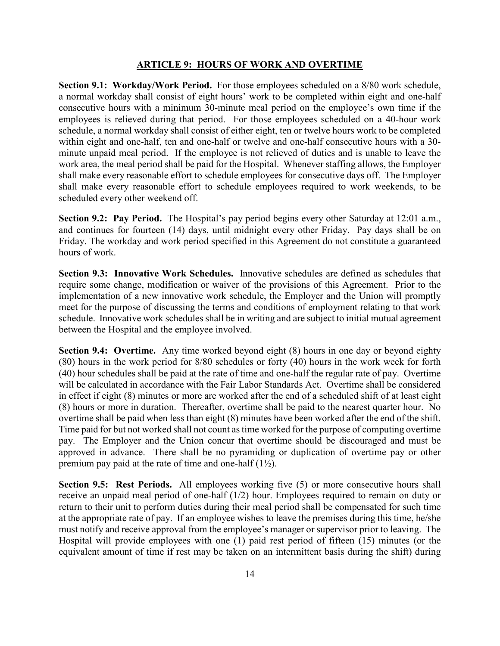#### **ARTICLE 9: HOURS OF WORK AND OVERTIME**

<span id="page-15-0"></span>**Section 9.1: Workday/Work Period.** For those employees scheduled on a 8/80 work schedule, a normal workday shall consist of eight hours' work to be completed within eight and one-half consecutive hours with a minimum 30-minute meal period on the employee's own time if the employees is relieved during that period. For those employees scheduled on a 40-hour work schedule, a normal workday shall consist of either eight, ten or twelve hours work to be completed within eight and one-half, ten and one-half or twelve and one-half consecutive hours with a 30 minute unpaid meal period. If the employee is not relieved of duties and is unable to leave the work area, the meal period shall be paid for the Hospital. Whenever staffing allows, the Employer shall make every reasonable effort to schedule employees for consecutive days off. The Employer shall make every reasonable effort to schedule employees required to work weekends, to be scheduled every other weekend off.

**Section 9.2: Pay Period.** The Hospital's pay period begins every other Saturday at 12:01 a.m., and continues for fourteen (14) days, until midnight every other Friday. Pay days shall be on Friday. The workday and work period specified in this Agreement do not constitute a guaranteed hours of work.

**Section 9.3: Innovative Work Schedules.** Innovative schedules are defined as schedules that require some change, modification or waiver of the provisions of this Agreement. Prior to the implementation of a new innovative work schedule, the Employer and the Union will promptly meet for the purpose of discussing the terms and conditions of employment relating to that work schedule. Innovative work schedules shall be in writing and are subject to initial mutual agreement between the Hospital and the employee involved.

**Section 9.4: Overtime.** Any time worked beyond eight (8) hours in one day or beyond eighty (80) hours in the work period for 8/80 schedules or forty (40) hours in the work week for forth (40) hour schedules shall be paid at the rate of time and one-half the regular rate of pay. Overtime will be calculated in accordance with the Fair Labor Standards Act. Overtime shall be considered in effect if eight (8) minutes or more are worked after the end of a scheduled shift of at least eight (8) hours or more in duration. Thereafter, overtime shall be paid to the nearest quarter hour. No overtime shall be paid when less than eight (8) minutes have been worked after the end of the shift. Time paid for but not worked shall not count as time worked for the purpose of computing overtime pay. The Employer and the Union concur that overtime should be discouraged and must be approved in advance. There shall be no pyramiding or duplication of overtime pay or other premium pay paid at the rate of time and one-half (1½).

**Section 9.5: Rest Periods.** All employees working five (5) or more consecutive hours shall receive an unpaid meal period of one-half (1/2) hour. Employees required to remain on duty or return to their unit to perform duties during their meal period shall be compensated for such time at the appropriate rate of pay. If an employee wishes to leave the premises during this time, he/she must notify and receive approval from the employee's manager or supervisor prior to leaving. The Hospital will provide employees with one (1) paid rest period of fifteen (15) minutes (or the equivalent amount of time if rest may be taken on an intermittent basis during the shift) during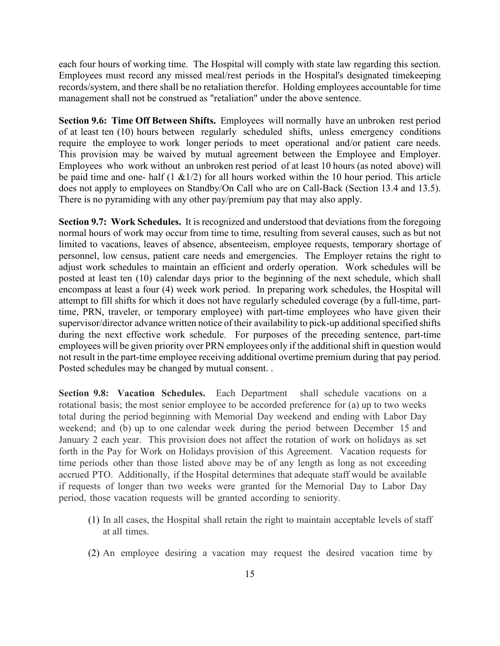each four hours of working time. The Hospital will comply with state law regarding this section. Employees must record any missed meal/rest periods in the Hospital's designated timekeeping records/system, and there shall be no retaliation therefor. Holding employees accountable for time management shall not be construed as "retaliation" under the above sentence.

**Section 9.6: Time Off Between Shifts.** Employees will normally have an unbroken rest period of at least ten (10) hours between regularly scheduled shifts, unless emergency conditions require the employee to work longer periods to meet operational and/or patient care needs. This provision may be waived by mutual agreement between the Employee and Employer. Employees who work without an unbroken rest period of at least 10 hours (as noted above) will be paid time and one- half  $(1 \& 1/2)$  for all hours worked within the 10 hour period. This article does not apply to employees on Standby/On Call who are on Call-Back (Section 13.4 and 13.5). There is no pyramiding with any other pay/premium pay that may also apply.

**Section 9.7: Work Schedules.** It is recognized and understood that deviations from the foregoing normal hours of work may occur from time to time, resulting from several causes, such as but not limited to vacations, leaves of absence, absenteeism, employee requests, temporary shortage of personnel, low census, patient care needs and emergencies. The Employer retains the right to adjust work schedules to maintain an efficient and orderly operation. Work schedules will be posted at least ten (10) calendar days prior to the beginning of the next schedule, which shall encompass at least a four (4) week work period.In preparing work schedules, the Hospital will attempt to fill shifts for which it does not have regularly scheduled coverage (by a full-time, parttime, PRN, traveler, or temporary employee) with part-time employees who have given their supervisor/director advance written notice of their availability to pick-up additional specified shifts during the next effective work schedule. For purposes of the preceding sentence, part-time employees will be given priority over PRN employees only if the additional shift in question would not result in the part-time employee receiving additional overtime premium during that pay period. Posted schedules may be changed by mutual consent. .

**Section 9.8: Vacation Schedules.** Each Department shall schedule vacations on a rotational basis; the most senior employee to be accorded preference for (a) up to two weeks total during the period beginning with Memorial Day weekend and ending with Labor Day weekend; and (b) up to one calendar week during the period between December 15 and January 2 each year. This provision does not affect the rotation of work on holidays as set forth in the Pay for Work on Holidays provision of this Agreement. Vacation requests for time periods other than those listed above may be of any length as long as not exceeding accrued PTO. Additionally, if the Hospital determines that adequate staff would be available if requests of longer than two weeks were granted for the Memorial Day to Labor Day period, those vacation requests will be granted according to seniority.

- (1) In all cases, the Hospital shall retain the right to maintain acceptable levels of staff at all times.
- (2) An employee desiring a vacation may request the desired vacation time by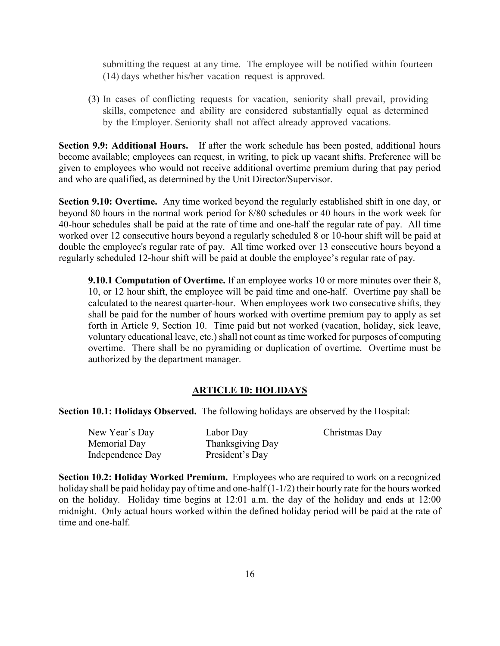submitting the request at any time. The employee will be notified within fourteen (14) days whether his/her vacation request is approved.

(3) In cases of conflicting requests for vacation, seniority shall prevail, providing skills, competence and ability are considered substantially equal as determined by the Employer. Seniority shall not affect already approved vacations.

**Section 9.9: Additional Hours.** If after the work schedule has been posted, additional hours become available; employees can request, in writing, to pick up vacant shifts. Preference will be given to employees who would not receive additional overtime premium during that pay period and who are qualified, as determined by the Unit Director/Supervisor.

**Section 9.10: Overtime.** Any time worked beyond the regularly established shift in one day, or beyond 80 hours in the normal work period for 8/80 schedules or 40 hours in the work week for 40-hour schedules shall be paid at the rate of time and one-half the regular rate of pay. All time worked over 12 consecutive hours beyond a regularly scheduled 8 or 10-hour shift will be paid at double the employee's regular rate of pay. All time worked over 13 consecutive hours beyond a regularly scheduled 12-hour shift will be paid at double the employee's regular rate of pay.

**9.10.1 Computation of Overtime.** If an employee works 10 or more minutes over their 8, 10, or 12 hour shift, the employee will be paid time and one-half. Overtime pay shall be calculated to the nearest quarter-hour. When employees work two consecutive shifts, they shall be paid for the number of hours worked with overtime premium pay to apply as set forth in Article 9, Section 10. Time paid but not worked (vacation, holiday, sick leave, voluntary educational leave, etc.) shall not count as time worked for purposes of computing overtime. There shall be no pyramiding or duplication of overtime. Overtime must be authorized by the department manager.

### **ARTICLE 10: HOLIDAYS**

<span id="page-17-0"></span>**Section 10.1: Holidays Observed.** The following holidays are observed by the Hospital:

| New Year's Day   | Labor Day        | Christmas Day |
|------------------|------------------|---------------|
| Memorial Day     | Thanksgiving Day |               |
| Independence Day | President's Day  |               |

**Section 10.2: Holiday Worked Premium.** Employees who are required to work on a recognized holiday shall be paid holiday pay of time and one-half (1-1/2) their hourly rate for the hours worked on the holiday. Holiday time begins at 12:01 a.m. the day of the holiday and ends at 12:00 midnight. Only actual hours worked within the defined holiday period will be paid at the rate of time and one-half.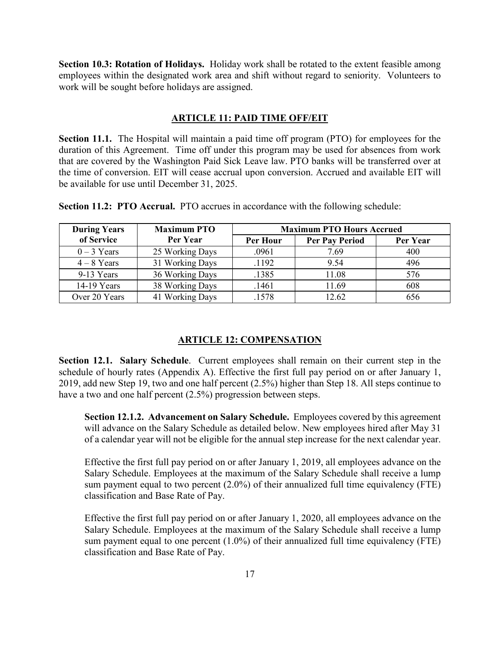**Section 10.3: Rotation of Holidays.** Holiday work shall be rotated to the extent feasible among employees within the designated work area and shift without regard to seniority. Volunteers to work will be sought before holidays are assigned.

#### **ARTICLE 11: PAID TIME OFF/EIT**

<span id="page-18-0"></span>**Section 11.1.** The Hospital will maintain a paid time off program (PTO) for employees for the duration of this Agreement. Time off under this program may be used for absences from work that are covered by the Washington Paid Sick Leave law. PTO banks will be transferred over at the time of conversion. EIT will cease accrual upon conversion. Accrued and available EIT will be available for use until December 31, 2025.

| <b>During Years</b> | <b>Maximum PTO</b> | <b>Maximum PTO Hours Accrued</b> |                       |          |
|---------------------|--------------------|----------------------------------|-----------------------|----------|
| of Service          | Per Year           | Per Hour                         | <b>Per Pay Period</b> | Per Year |
| $0-3$ Years         | 25 Working Days    | .0961                            | 7.69                  | 400      |
| $4-8$ Years         | 31 Working Days    | .1192                            | 9.54                  | 496      |
| 9-13 Years          | 36 Working Days    | .1385                            | 11.08                 | 576      |
| 14-19 Years         | 38 Working Days    | .1461                            | 11.69                 | 608      |
| Over 20 Years       | 41 Working Days    | .1578                            | 12.62                 | 656      |

**Section 11.2: PTO Accrual.** PTO accrues in accordance with the following schedule:

#### **ARTICLE 12: COMPENSATION**

<span id="page-18-1"></span>**Section 12.1. Salary Schedule**. Current employees shall remain on their current step in the schedule of hourly rates (Appendix A). Effective the first full pay period on or after January 1, 2019, add new Step 19, two and one half percent (2.5%) higher than Step 18. All steps continue to have a two and one half percent (2.5%) progression between steps.

**Section 12.1.2. Advancement on Salary Schedule.** Employees covered by this agreement will advance on the Salary Schedule as detailed below. New employees hired after May 31 of a calendar year will not be eligible for the annual step increase for the next calendar year.

Effective the first full pay period on or after January 1, 2019, all employees advance on the Salary Schedule. Employees at the maximum of the Salary Schedule shall receive a lump sum payment equal to two percent (2.0%) of their annualized full time equivalency (FTE) classification and Base Rate of Pay.

Effective the first full pay period on or after January 1, 2020, all employees advance on the Salary Schedule. Employees at the maximum of the Salary Schedule shall receive a lump sum payment equal to one percent  $(1.0\%)$  of their annualized full time equivalency (FTE) classification and Base Rate of Pay.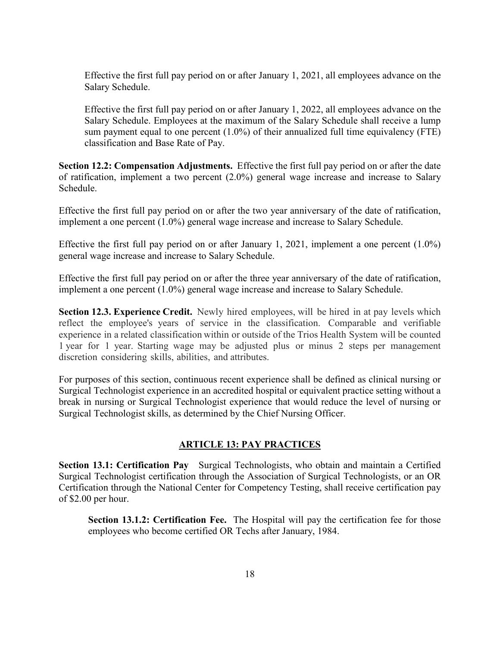Effective the first full pay period on or after January 1, 2021, all employees advance on the Salary Schedule.

Effective the first full pay period on or after January 1, 2022, all employees advance on the Salary Schedule. Employees at the maximum of the Salary Schedule shall receive a lump sum payment equal to one percent  $(1.0\%)$  of their annualized full time equivalency (FTE) classification and Base Rate of Pay.

**Section 12.2: Compensation Adjustments.** Effective the first full pay period on or after the date of ratification, implement a two percent (2.0%) general wage increase and increase to Salary Schedule.

Effective the first full pay period on or after the two year anniversary of the date of ratification, implement a one percent (1.0%) general wage increase and increase to Salary Schedule.

Effective the first full pay period on or after January 1, 2021, implement a one percent (1.0%) general wage increase and increase to Salary Schedule.

Effective the first full pay period on or after the three year anniversary of the date of ratification, implement a one percent (1.0%) general wage increase and increase to Salary Schedule.

**Section 12.3. Experience Credit.** Newly hired employees, will be hired in at pay levels which reflect the employee's years of service in the classification. Comparable and verifiable experience in a related classification within or outside of the Trios Health System will be counted 1 year for 1 year. Starting wage may be adjusted plus or minus 2 steps per management discretion considering skills, abilities, and attributes.

For purposes of this section, continuous recent experience shall be defined as clinical nursing or Surgical Technologist experience in an accredited hospital or equivalent practice setting without a break in nursing or Surgical Technologist experience that would reduce the level of nursing or Surgical Technologist skills, as determined by the Chief Nursing Officer.

### **ARTICLE 13: PAY PRACTICES**

<span id="page-19-0"></span>**Section 13.1: Certification Pay** Surgical Technologists, who obtain and maintain a Certified Surgical Technologist certification through the Association of Surgical Technologists, or an OR Certification through the National Center for Competency Testing, shall receive certification pay of \$2.00 per hour.

**Section 13.1.2: Certification Fee.** The Hospital will pay the certification fee for those employees who become certified OR Techs after January, 1984.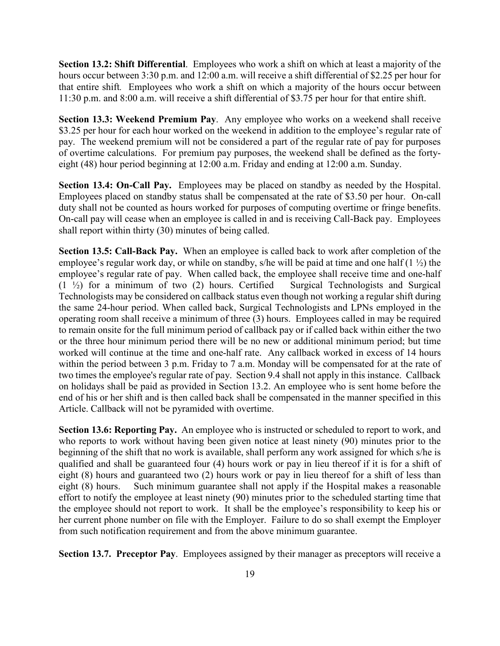**Section 13.2: Shift Differential**. Employees who work a shift on which at least a majority of the hours occur between 3:30 p.m. and 12:00 a.m. will receive a shift differential of \$2.25 per hour for that entire shift*.* Employees who work a shift on which a majority of the hours occur between 11:30 p.m. and 8:00 a.m. will receive a shift differential of \$3.75 per hour for that entire shift.

**Section 13.3: Weekend Premium Pay**. Any employee who works on a weekend shall receive \$3.25 per hour for each hour worked on the weekend in addition to the employee's regular rate of pay. The weekend premium will not be considered a part of the regular rate of pay for purposes of overtime calculations. For premium pay purposes, the weekend shall be defined as the fortyeight (48) hour period beginning at 12:00 a.m. Friday and ending at 12:00 a.m. Sunday.

**Section 13.4: On-Call Pay.** Employees may be placed on standby as needed by the Hospital. Employees placed on standby status shall be compensated at the rate of \$3.50 per hour. On-call duty shall not be counted as hours worked for purposes of computing overtime or fringe benefits. On-call pay will cease when an employee is called in and is receiving Call-Back pay. Employees shall report within thirty (30) minutes of being called.

**Section 13.5: Call-Back Pay.** When an employee is called back to work after completion of the employee's regular work day, or while on standby, s/he will be paid at time and one half  $(1 \frac{1}{2})$  the employee's regular rate of pay. When called back, the employee shall receive time and one-half (1 ½) for a minimum of two (2) hours. Certified Surgical Technologists and Surgical Technologists may be considered on callback status even though not working a regular shift during the same 24-hour period. When called back, Surgical Technologists and LPNs employed in the operating room shall receive a minimum of three  $(3)$  hours. Employees called in may be required to remain onsite for the full minimum period of callback pay or if called back within either the two or the three hour minimum period there will be no new or additional minimum period; but time worked will continue at the time and one-half rate. Any callback worked in excess of 14 hours within the period between 3 p.m. Friday to 7 a.m. Monday will be compensated for at the rate of two times the employee's regular rate of pay. Section 9.4 shall not apply in this instance. Callback on holidays shall be paid as provided in Section 13.2. An employee who is sent home before the end of his or her shift and is then called back shall be compensated in the manner specified in this Article. Callback will not be pyramided with overtime.

**Section 13.6: Reporting Pay.** An employee who is instructed or scheduled to report to work, and who reports to work without having been given notice at least ninety (90) minutes prior to the beginning of the shift that no work is available, shall perform any work assigned for which s/he is qualified and shall be guaranteed four (4) hours work or pay in lieu thereof if it is for a shift of eight (8) hours and guaranteed two (2) hours work or pay in lieu thereof for a shift of less than eight (8) hours. Such minimum guarantee shall not apply if the Hospital makes a reasonable effort to notify the employee at least ninety (90) minutes prior to the scheduled starting time that the employee should not report to work. It shall be the employee's responsibility to keep his or her current phone number on file with the Employer. Failure to do so shall exempt the Employer from such notification requirement and from the above minimum guarantee.

**Section 13.7. Preceptor Pay**. Employees assigned by their manager as preceptors will receive a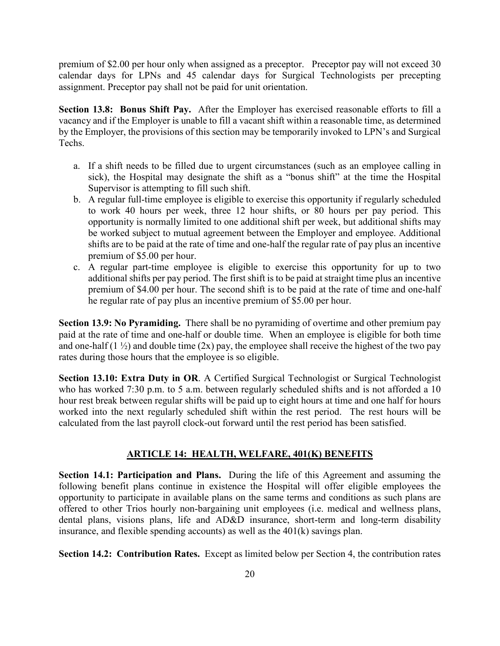premium of \$2.00 per hour only when assigned as a preceptor. Preceptor pay will not exceed 30 calendar days for LPNs and 45 calendar days for Surgical Technologists per precepting assignment. Preceptor pay shall not be paid for unit orientation.

**Section 13.8: Bonus Shift Pay.** After the Employer has exercised reasonable efforts to fill a vacancy and if the Employer is unable to fill a vacant shift within a reasonable time, as determined by the Employer, the provisions of this section may be temporarily invoked to LPN's and Surgical Techs.

- a. If a shift needs to be filled due to urgent circumstances (such as an employee calling in sick), the Hospital may designate the shift as a "bonus shift" at the time the Hospital Supervisor is attempting to fill such shift.
- b. A regular full-time employee is eligible to exercise this opportunity if regularly scheduled to work 40 hours per week, three 12 hour shifts, or 80 hours per pay period. This opportunity is normally limited to one additional shift per week, but additional shifts may be worked subject to mutual agreement between the Employer and employee. Additional shifts are to be paid at the rate of time and one-half the regular rate of pay plus an incentive premium of \$5.00 per hour.
- c. A regular part-time employee is eligible to exercise this opportunity for up to two additional shifts per pay period. The first shift is to be paid at straight time plus an incentive premium of \$4.00 per hour. The second shift is to be paid at the rate of time and one-half he regular rate of pay plus an incentive premium of \$5.00 per hour.

**Section 13.9: No Pyramiding.** There shall be no pyramiding of overtime and other premium pay paid at the rate of time and one-half or double time. When an employee is eligible for both time and one-half  $(1 \frac{1}{2})$  and double time  $(2x)$  pay, the employee shall receive the highest of the two pay rates during those hours that the employee is so eligible.

**Section 13.10: Extra Duty in OR**. A Certified Surgical Technologist or Surgical Technologist who has worked 7:30 p.m. to 5 a.m. between regularly scheduled shifts and is not afforded a 10 hour rest break between regular shifts will be paid up to eight hours at time and one half for hours worked into the next regularly scheduled shift within the rest period. The rest hours will be calculated from the last payroll clock-out forward until the rest period has been satisfied.

#### **ARTICLE 14: HEALTH, WELFARE, 401(K) BENEFITS**

<span id="page-21-0"></span>**Section 14.1: Participation and Plans.** During the life of this Agreement and assuming the following benefit plans continue in existence the Hospital will offer eligible employees the opportunity to participate in available plans on the same terms and conditions as such plans are offered to other Trios hourly non-bargaining unit employees (i.e. medical and wellness plans, dental plans, visions plans, life and AD&D insurance, short-term and long-term disability insurance, and flexible spending accounts) as well as the 401(k) savings plan.

**Section 14.2: Contribution Rates.** Except as limited below per Section 4, the contribution rates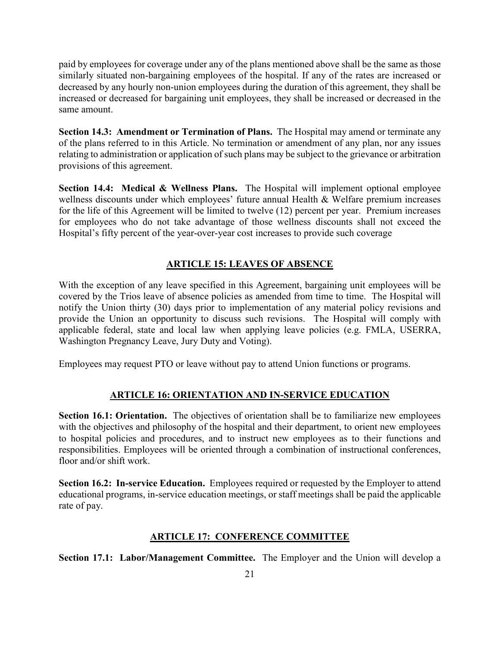paid by employees for coverage under any of the plans mentioned above shall be the same as those similarly situated non-bargaining employees of the hospital. If any of the rates are increased or decreased by any hourly non-union employees during the duration of this agreement, they shall be increased or decreased for bargaining unit employees, they shall be increased or decreased in the same amount.

**Section 14.3: Amendment or Termination of Plans.** The Hospital may amend or terminate any of the plans referred to in this Article. No termination or amendment of any plan, nor any issues relating to administration or application of such plans may be subject to the grievance or arbitration provisions of this agreement.

**Section 14.4: Medical & Wellness Plans.** The Hospital will implement optional employee wellness discounts under which employees' future annual Health & Welfare premium increases for the life of this Agreement will be limited to twelve (12) percent per year. Premium increases for employees who do not take advantage of those wellness discounts shall not exceed the Hospital's fifty percent of the year-over-year cost increases to provide such coverage

### **ARTICLE 15: LEAVES OF ABSENCE**

<span id="page-22-0"></span>With the exception of any leave specified in this Agreement, bargaining unit employees will be covered by the Trios leave of absence policies as amended from time to time. The Hospital will notify the Union thirty (30) days prior to implementation of any material policy revisions and provide the Union an opportunity to discuss such revisions. The Hospital will comply with applicable federal, state and local law when applying leave policies (e.g. FMLA, USERRA, Washington Pregnancy Leave, Jury Duty and Voting).

<span id="page-22-1"></span>Employees may request PTO or leave without pay to attend Union functions or programs.

### **ARTICLE 16: ORIENTATION AND IN-SERVICE EDUCATION**

**Section 16.1: Orientation.** The objectives of orientation shall be to familiarize new employees with the objectives and philosophy of the hospital and their department, to orient new employees to hospital policies and procedures, and to instruct new employees as to their functions and responsibilities. Employees will be oriented through a combination of instructional conferences, floor and/or shift work.

<span id="page-22-2"></span>**Section 16.2: In-service Education.** Employees required or requested by the Employer to attend educational programs, in-service education meetings, or staff meetings shall be paid the applicable rate of pay.

### **ARTICLE 17: CONFERENCE COMMITTEE**

**Section 17.1: Labor/Management Committee.** The Employer and the Union will develop a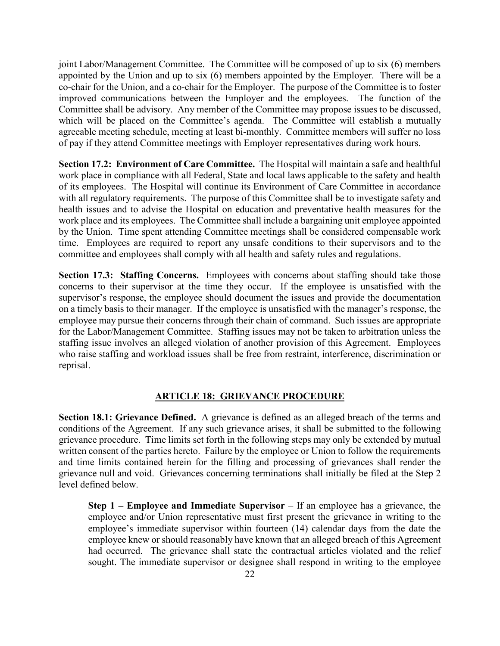joint Labor/Management Committee. The Committee will be composed of up to six (6) members appointed by the Union and up to six (6) members appointed by the Employer. There will be a co-chair for the Union, and a co-chair for the Employer. The purpose of the Committee is to foster improved communications between the Employer and the employees. The function of the Committee shall be advisory. Any member of the Committee may propose issues to be discussed, which will be placed on the Committee's agenda. The Committee will establish a mutually agreeable meeting schedule, meeting at least bi-monthly. Committee members will suffer no loss of pay if they attend Committee meetings with Employer representatives during work hours.

**Section 17.2: Environment of Care Committee.** The Hospital will maintain a safe and healthful work place in compliance with all Federal, State and local laws applicable to the safety and health of its employees. The Hospital will continue its Environment of Care Committee in accordance with all regulatory requirements. The purpose of this Committee shall be to investigate safety and health issues and to advise the Hospital on education and preventative health measures for the work place and its employees. The Committee shall include a bargaining unit employee appointed by the Union. Time spent attending Committee meetings shall be considered compensable work time. Employees are required to report any unsafe conditions to their supervisors and to the committee and employees shall comply with all health and safety rules and regulations.

**Section 17.3: Staffing Concerns.** Employees with concerns about staffing should take those concerns to their supervisor at the time they occur. If the employee is unsatisfied with the supervisor's response, the employee should document the issues and provide the documentation on a timely basis to their manager. If the employee is unsatisfied with the manager's response, the employee may pursue their concerns through their chain of command. Such issues are appropriate for the Labor/Management Committee. Staffing issues may not be taken to arbitration unless the staffing issue involves an alleged violation of another provision of this Agreement. Employees who raise staffing and workload issues shall be free from restraint, interference, discrimination or reprisal.

#### **ARTICLE 18: GRIEVANCE PROCEDURE**

<span id="page-23-0"></span>**Section 18.1: Grievance Defined.** A grievance is defined as an alleged breach of the terms and conditions of the Agreement. If any such grievance arises, it shall be submitted to the following grievance procedure. Time limits set forth in the following steps may only be extended by mutual written consent of the parties hereto. Failure by the employee or Union to follow the requirements and time limits contained herein for the filling and processing of grievances shall render the grievance null and void. Grievances concerning terminations shall initially be filed at the Step 2 level defined below.

**Step 1 – Employee and Immediate Supervisor** – If an employee has a grievance, the employee and/or Union representative must first present the grievance in writing to the employee's immediate supervisor within fourteen (14) calendar days from the date the employee knew or should reasonably have known that an alleged breach of this Agreement had occurred. The grievance shall state the contractual articles violated and the relief sought. The immediate supervisor or designee shall respond in writing to the employee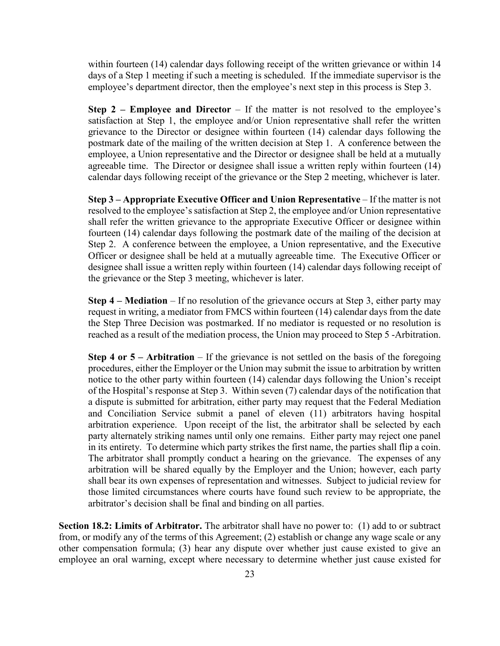within fourteen (14) calendar days following receipt of the written grievance or within 14 days of a Step 1 meeting if such a meeting is scheduled. If the immediate supervisor is the employee's department director, then the employee's next step in this process is Step 3.

**Step 2 – Employee and Director** – If the matter is not resolved to the employee's satisfaction at Step 1, the employee and/or Union representative shall refer the written grievance to the Director or designee within fourteen (14) calendar days following the postmark date of the mailing of the written decision at Step 1. A conference between the employee, a Union representative and the Director or designee shall be held at a mutually agreeable time. The Director or designee shall issue a written reply within fourteen (14) calendar days following receipt of the grievance or the Step 2 meeting, whichever is later.

**Step 3 – Appropriate Executive Officer and Union Representative** – If the matter is not resolved to the employee's satisfaction at Step 2, the employee and/or Union representative shall refer the written grievance to the appropriate Executive Officer or designee within fourteen (14) calendar days following the postmark date of the mailing of the decision at Step 2. A conference between the employee, a Union representative, and the Executive Officer or designee shall be held at a mutually agreeable time. The Executive Officer or designee shall issue a written reply within fourteen (14) calendar days following receipt of the grievance or the Step 3 meeting, whichever is later.

**Step 4 – Mediation** – If no resolution of the grievance occurs at Step 3, either party may request in writing, a mediator from FMCS within fourteen (14) calendar days from the date the Step Three Decision was postmarked. If no mediator is requested or no resolution is reached as a result of the mediation process, the Union may proceed to Step 5 -Arbitration.

**Step 4 or 5 – Arbitration** – If the grievance is not settled on the basis of the foregoing procedures, either the Employer or the Union may submit the issue to arbitration by written notice to the other party within fourteen (14) calendar days following the Union's receipt of the Hospital's response at Step 3. Within seven (7) calendar days of the notification that a dispute is submitted for arbitration, either party may request that the Federal Mediation and Conciliation Service submit a panel of eleven (11) arbitrators having hospital arbitration experience. Upon receipt of the list, the arbitrator shall be selected by each party alternately striking names until only one remains. Either party may reject one panel in its entirety. To determine which party strikes the first name, the parties shall flip a coin. The arbitrator shall promptly conduct a hearing on the grievance. The expenses of any arbitration will be shared equally by the Employer and the Union; however, each party shall bear its own expenses of representation and witnesses. Subject to judicial review for those limited circumstances where courts have found such review to be appropriate, the arbitrator's decision shall be final and binding on all parties.

**Section 18.2: Limits of Arbitrator.** The arbitrator shall have no power to: (1) add to or subtract from, or modify any of the terms of this Agreement; (2) establish or change any wage scale or any other compensation formula; (3) hear any dispute over whether just cause existed to give an employee an oral warning, except where necessary to determine whether just cause existed for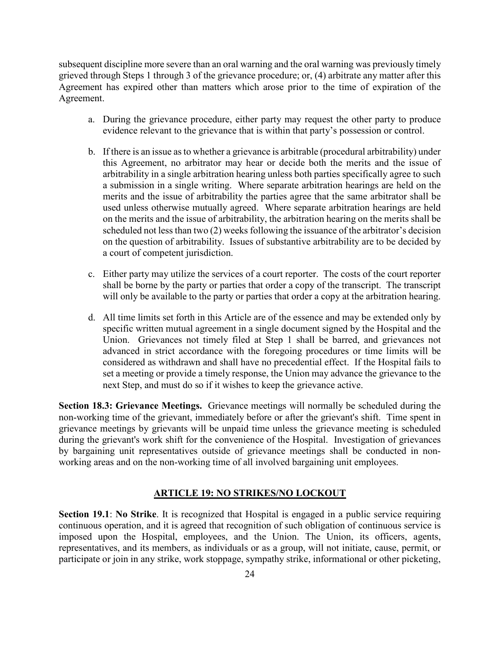subsequent discipline more severe than an oral warning and the oral warning was previously timely grieved through Steps 1 through 3 of the grievance procedure; or, (4) arbitrate any matter after this Agreement has expired other than matters which arose prior to the time of expiration of the Agreement.

- a. During the grievance procedure, either party may request the other party to produce evidence relevant to the grievance that is within that party's possession or control.
- b. If there is an issue as to whether a grievance is arbitrable (procedural arbitrability) under this Agreement, no arbitrator may hear or decide both the merits and the issue of arbitrability in a single arbitration hearing unless both parties specifically agree to such a submission in a single writing. Where separate arbitration hearings are held on the merits and the issue of arbitrability the parties agree that the same arbitrator shall be used unless otherwise mutually agreed. Where separate arbitration hearings are held on the merits and the issue of arbitrability, the arbitration hearing on the merits shall be scheduled not less than two (2) weeks following the issuance of the arbitrator's decision on the question of arbitrability. Issues of substantive arbitrability are to be decided by a court of competent jurisdiction.
- c. Either party may utilize the services of a court reporter. The costs of the court reporter shall be borne by the party or parties that order a copy of the transcript. The transcript will only be available to the party or parties that order a copy at the arbitration hearing.
- d. All time limits set forth in this Article are of the essence and may be extended only by specific written mutual agreement in a single document signed by the Hospital and the Union. Grievances not timely filed at Step 1 shall be barred, and grievances not advanced in strict accordance with the foregoing procedures or time limits will be considered as withdrawn and shall have no precedential effect. If the Hospital fails to set a meeting or provide a timely response, the Union may advance the grievance to the next Step, and must do so if it wishes to keep the grievance active.

**Section 18.3: Grievance Meetings.** Grievance meetings will normally be scheduled during the non-working time of the grievant, immediately before or after the grievant's shift. Time spent in grievance meetings by grievants will be unpaid time unless the grievance meeting is scheduled during the grievant's work shift for the convenience of the Hospital. Investigation of grievances by bargaining unit representatives outside of grievance meetings shall be conducted in nonworking areas and on the non-working time of all involved bargaining unit employees.

#### **ARTICLE 19: NO STRIKES/NO LOCKOUT**

<span id="page-25-0"></span>**Section 19.1: No Strike**. It is recognized that Hospital is engaged in a public service requiring continuous operation, and it is agreed that recognition of such obligation of continuous service is imposed upon the Hospital, employees, and the Union. The Union, its officers, agents, representatives, and its members, as individuals or as a group, will not initiate, cause, permit, or participate or join in any strike, work stoppage, sympathy strike, informational or other picketing,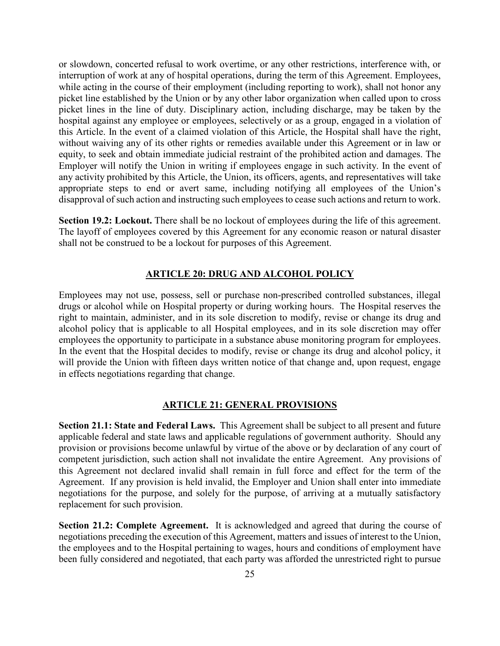or slowdown, concerted refusal to work overtime, or any other restrictions, interference with, or interruption of work at any of hospital operations, during the term of this Agreement. Employees, while acting in the course of their employment (including reporting to work), shall not honor any picket line established by the Union or by any other labor organization when called upon to cross picket lines in the line of duty. Disciplinary action, including discharge, may be taken by the hospital against any employee or employees, selectively or as a group, engaged in a violation of this Article. In the event of a claimed violation of this Article, the Hospital shall have the right, without waiving any of its other rights or remedies available under this Agreement or in law or equity, to seek and obtain immediate judicial restraint of the prohibited action and damages. The Employer will notify the Union in writing if employees engage in such activity. In the event of any activity prohibited by this Article, the Union, its officers, agents, and representatives will take appropriate steps to end or avert same, including notifying all employees of the Union's disapproval of such action and instructing such employees to cease such actions and return to work.

**Section 19.2: Lockout.** There shall be no lockout of employees during the life of this agreement. The layoff of employees covered by this Agreement for any economic reason or natural disaster shall not be construed to be a lockout for purposes of this Agreement.

#### **ARTICLE 20: DRUG AND ALCOHOL POLICY**

<span id="page-26-0"></span>Employees may not use, possess, sell or purchase non-prescribed controlled substances, illegal drugs or alcohol while on Hospital property or during working hours. The Hospital reserves the right to maintain, administer, and in its sole discretion to modify, revise or change its drug and alcohol policy that is applicable to all Hospital employees, and in its sole discretion may offer employees the opportunity to participate in a substance abuse monitoring program for employees. In the event that the Hospital decides to modify, revise or change its drug and alcohol policy, it will provide the Union with fifteen days written notice of that change and, upon request, engage in effects negotiations regarding that change.

#### **ARTICLE 21: GENERAL PROVISIONS**

<span id="page-26-1"></span>**Section 21.1: State and Federal Laws.** This Agreement shall be subject to all present and future applicable federal and state laws and applicable regulations of government authority. Should any provision or provisions become unlawful by virtue of the above or by declaration of any court of competent jurisdiction, such action shall not invalidate the entire Agreement. Any provisions of this Agreement not declared invalid shall remain in full force and effect for the term of the Agreement. If any provision is held invalid, the Employer and Union shall enter into immediate negotiations for the purpose, and solely for the purpose, of arriving at a mutually satisfactory replacement for such provision.

**Section 21.2: Complete Agreement.** It is acknowledged and agreed that during the course of negotiations preceding the execution of this Agreement, matters and issues of interest to the Union, the employees and to the Hospital pertaining to wages, hours and conditions of employment have been fully considered and negotiated, that each party was afforded the unrestricted right to pursue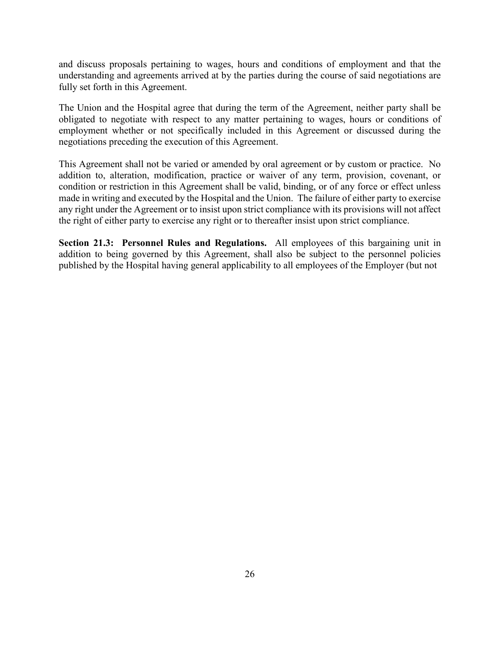and discuss proposals pertaining to wages, hours and conditions of employment and that the understanding and agreements arrived at by the parties during the course of said negotiations are fully set forth in this Agreement.

The Union and the Hospital agree that during the term of the Agreement, neither party shall be obligated to negotiate with respect to any matter pertaining to wages, hours or conditions of employment whether or not specifically included in this Agreement or discussed during the negotiations preceding the execution of this Agreement.

This Agreement shall not be varied or amended by oral agreement or by custom or practice. No addition to, alteration, modification, practice or waiver of any term, provision, covenant, or condition or restriction in this Agreement shall be valid, binding, or of any force or effect unless made in writing and executed by the Hospital and the Union. The failure of either party to exercise any right under the Agreement or to insist upon strict compliance with its provisions will not affect the right of either party to exercise any right or to thereafter insist upon strict compliance.

**Section 21.3: Personnel Rules and Regulations.** All employees of this bargaining unit in addition to being governed by this Agreement, shall also be subject to the personnel policies published by the Hospital having general applicability to all employees of the Employer (but not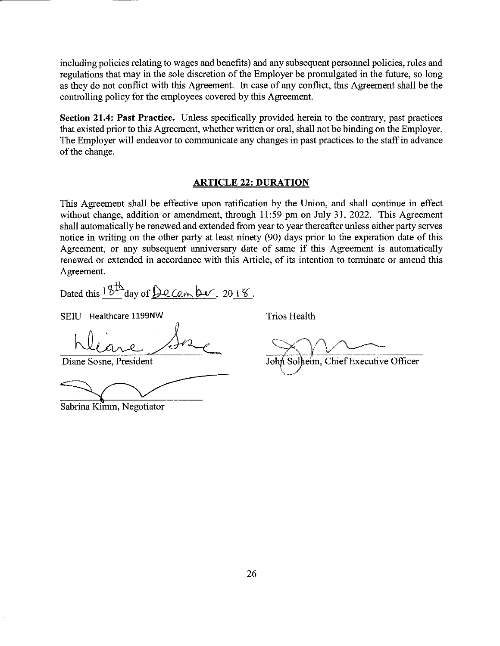including policies relating to wages and benefits) and any subsequent personnel policies, rules and regulations that may in the sole discretion of the Employer be promulgated in the future, so long as they do not conflict with this Agreement. In case of any conflict, this Agreement shall be the controlling policy for the employees covered by this Agreement.

Section 21.4: Past Practice. Unless specifically provided herein to the contrary, past practices that existed prior to this Agreement, whether written or oral, shall not be binding on the Employer. The Employer will endeavor to communicate any changes in past practices to the staff in advance of the change.

#### **ARTICLE 22: DURATION**

This Agreement shall be effective upon ratification by the Union, and shall continue in effect without change, addition or amendment, through 11:59 pm on July 31, 2022. This Agreement shall automatically be renewed and extended from year to year thereafter unless either party serves notice in writing on the other party at least ninety (90) days prior to the expiration date of this Agreement, or any subsequent anniversary date of same if this Agreement is automatically renewed or extended in accordance with this Article, of its intention to terminate or amend this Agreement.

Dated this  $8^{\text{th}}$  day of De Cem ber, 2018.

SEIU Healthcare 1199NW

Diane Sosne, President

Sabrina Kimm, Negotiator

**Trios Health** 

John Solheim, Chief Executive Officer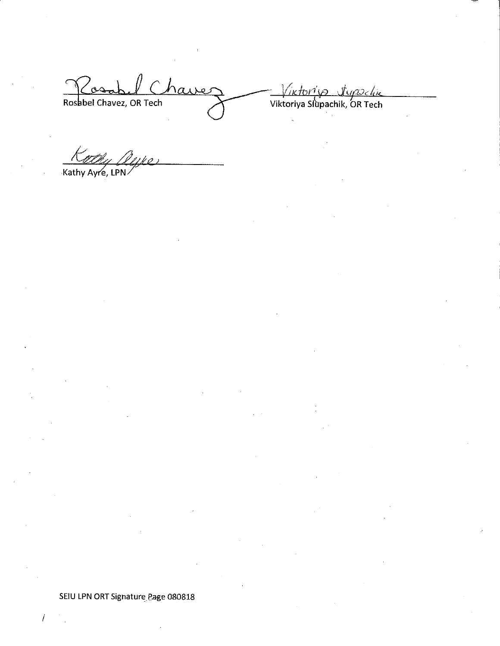Rosabel Chavez Rosabel Chavez, OR Tech

Wiktori's Jupochie<br>Viktoriya Slupachik, OR Tech

Me Kathy Ayre, LPN

SEIU LPN ORT Signature Page 080818

 $\overline{I}$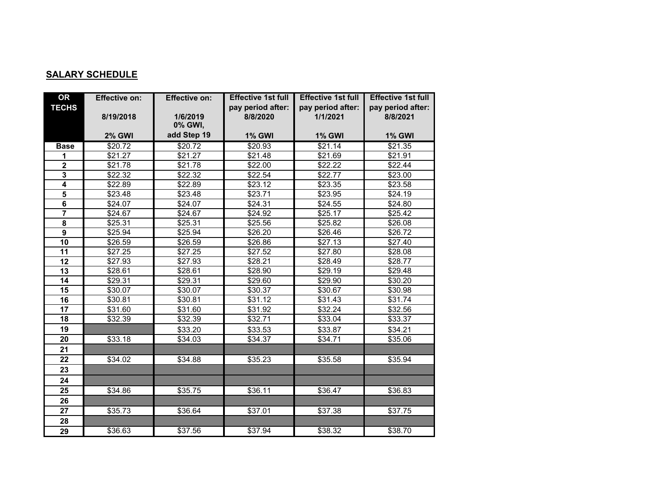### **SALARY SCHEDULE**

| <b>OR</b>               | <b>Effective on:</b> | <b>Effective on:</b> | <b>Effective 1st full</b> | <b>Effective 1st full</b> | <b>Effective 1st full</b> |
|-------------------------|----------------------|----------------------|---------------------------|---------------------------|---------------------------|
| <b>TECHS</b>            |                      |                      | pay period after:         | pay period after:         | pay period after:         |
|                         | 8/19/2018            | 1/6/2019             | 8/8/2020                  | 1/1/2021                  | 8/8/2021                  |
|                         |                      | 0% GWI,              |                           |                           |                           |
|                         | <b>2% GWI</b>        | add Step 19          | <b>1% GWI</b>             | <b>1% GWI</b>             | <b>1% GWI</b>             |
| <b>Base</b>             | \$20.72              | \$20.72              | \$20.93                   | \$21.14                   | \$21.35                   |
| 1                       | \$21.27              | \$21.27              | \$21.48                   | \$21.69                   | \$21.91                   |
| $\overline{\mathbf{2}}$ | \$21.78              | \$21.78              | \$22.00                   | \$22.22                   | \$22.44                   |
| $\mathbf{3}$            | \$22.32              | \$22.32              | \$22.54                   | \$22.77                   | \$23.00                   |
| $\overline{\mathbf{4}}$ | \$22.89              | \$22.89              | \$23.12                   | \$23.35                   | \$23.58                   |
| $\overline{\mathbf{5}}$ | \$23.48              | \$23.48              | \$23.71                   | \$23.95                   | \$24.19                   |
| $\overline{\mathbf{6}}$ | \$24.07              | \$24.07              | \$24.31                   | \$24.55                   | \$24.80                   |
| $\overline{7}$          | \$24.67              | \$24.67              | \$24.92                   | \$25.17                   | \$25.42                   |
| 8                       | \$25.31              | \$25.31              | \$25.56                   | \$25.82                   | \$26.08                   |
| $\overline{9}$          | \$25.94              | \$25.94              | \$26.20                   | \$26.46                   | \$26.72                   |
| 10                      | \$26.59              | \$26.59              | \$26.86                   | \$27.13                   | \$27.40                   |
| 11                      | \$27.25              | \$27.25              | \$27.52                   | \$27.80                   | \$28.08                   |
| 12                      | \$27.93              | \$27.93              | \$28.21                   | \$28.49                   | \$28.77                   |
| 13                      | \$28.61              | \$28.61              | \$28.90                   | \$29.19                   | \$29.48                   |
| 14                      | \$29.31              | \$29.31              | \$29.60                   | \$29.90                   | \$30.20                   |
| 15                      | \$30.07              | \$30.07              | \$30.37                   | \$30.67                   | \$30.98                   |
| $\overline{16}$         | \$30.81              | \$30.81              | \$31.12                   | \$31.43                   | \$31.74                   |
| 17                      | \$31.60              | \$31.60              | \$31.92                   | $\overline{$}32.24$       | \$32.56                   |
| 18                      | \$32.39              | \$32.39              | \$32.71                   | \$33.04                   | \$33.37                   |
| 19                      |                      | \$33.20              | \$33.53                   | \$33.87                   | \$34.21                   |
| 20                      | \$33.18              | \$34.03              | \$34.37                   | \$34.71                   | \$35.06                   |
| 21                      |                      |                      |                           |                           |                           |
| 22                      | \$34.02              | \$34.88              | \$35.23                   | \$35.58                   | \$35.94                   |
| 23                      |                      |                      |                           |                           |                           |
| 24                      |                      |                      |                           |                           |                           |
| 25                      | \$34.86              | \$35.75              | \$36.11                   | \$36.47                   | \$36.83                   |
| 26                      |                      |                      |                           |                           |                           |
| 27                      | \$35.73              | \$36.64              | \$37.01                   | \$37.38                   | \$37.75                   |
| 28                      |                      |                      |                           |                           |                           |
| 29                      | \$36.63              | \$37.56              | \$37.94                   | \$38.32                   | \$38.70                   |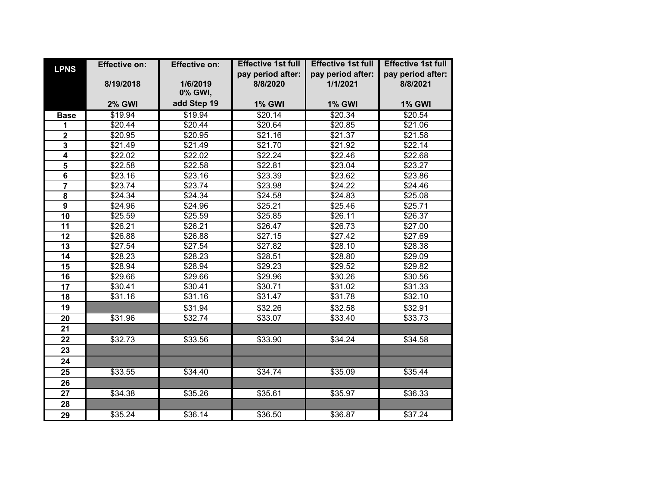| <b>LPNS</b>             | <b>Effective on:</b> | <b>Effective on:</b> | <b>Effective 1st full</b> | <b>Effective 1st full</b> | <b>Effective 1st full</b> |
|-------------------------|----------------------|----------------------|---------------------------|---------------------------|---------------------------|
|                         |                      |                      | pay period after:         | pay period after:         | pay period after:         |
|                         | 8/19/2018            | 1/6/2019             | 8/8/2020                  | 1/1/2021                  | 8/8/2021                  |
|                         |                      | 0% GWI,              |                           |                           |                           |
|                         | <b>2% GWI</b>        | add Step 19          | <b>1% GWI</b>             | <b>1% GWI</b>             | <b>1% GWI</b>             |
| <b>Base</b>             | \$19.94              | \$19.94              | \$20.14                   | \$20.34                   | \$20.54                   |
| 1                       | \$20.44              | \$20.44              | \$20.64                   | \$20.85                   | \$21.06                   |
| $\overline{\mathbf{2}}$ | \$20.95              | \$20.95              | $\overline{$}21.16$       | \$21.37                   | \$21.58                   |
| $\overline{\mathbf{3}}$ | \$21.49              | \$21.49              | \$21.70                   | \$21.92                   | \$22.14                   |
| $\overline{\mathbf{4}}$ | \$22.02              | \$22.02              | \$22.24                   | \$22.46                   | \$22.68                   |
| $\overline{\mathbf{5}}$ | \$22.58              | \$22.58              | \$22.81                   | \$23.04                   | \$23.27                   |
| 6                       | \$23.16              | \$23.16              | \$23.39                   | \$23.62                   | \$23.86                   |
| $\overline{7}$          | \$23.74              | \$23.74              | \$23.98                   | \$24.22                   | \$24.46                   |
| 8                       | \$24.34              | \$24.34              | \$24.58                   | \$24.83                   | \$25.08                   |
| 9                       | \$24.96              | \$24.96              | \$25.21                   | \$25.46                   | \$25.71                   |
| 10                      | \$25.59              | \$25.59              | \$25.85                   | \$26.11                   | \$26.37                   |
| 11                      | \$26.21              | \$26.21              | \$26.47                   | \$26.73                   | \$27.00                   |
| 12                      | \$26.88              | \$26.88              | \$27.15                   | \$27.42                   | \$27.69                   |
| 13                      | \$27.54              | \$27.54              | \$27.82                   | \$28.10                   | \$28.38                   |
| 14                      | \$28.23              | \$28.23              | \$28.51                   | \$28.80                   | \$29.09                   |
| 15                      | \$28.94              | \$28.94              | \$29.23                   | \$29.52                   | \$29.82                   |
| $\overline{16}$         | \$29.66              | \$29.66              | \$29.96                   | \$30.26                   | \$30.56                   |
| 17                      | \$30.41              | \$30.41              | \$30.71                   | \$31.02                   | \$31.33                   |
| 18                      | \$31.16              | \$31.16              | \$31.47                   | \$31.78                   | \$32.10                   |
| 19                      |                      | \$31.94              | \$32.26                   | \$32.58                   | \$32.91                   |
| 20                      | \$31.96              | \$32.74              | \$33.07                   | \$33.40                   | \$33.73                   |
| 21                      |                      |                      |                           |                           |                           |
| 22                      | \$32.73              | \$33.56              | \$33.90                   | \$34.24                   | \$34.58                   |
| 23                      |                      |                      |                           |                           |                           |
| 24                      |                      |                      |                           |                           |                           |
| 25                      | \$33.55              | \$34.40              | \$34.74                   | \$35.09                   | \$35.44                   |
| 26                      |                      |                      |                           |                           |                           |
| 27                      | \$34.38              | \$35.26              | \$35.61                   | \$35.97                   | \$36.33                   |
| 28                      |                      |                      |                           |                           |                           |
| 29                      | \$35.24              | \$36.14              | \$36.50                   | \$36.87                   | \$37.24                   |